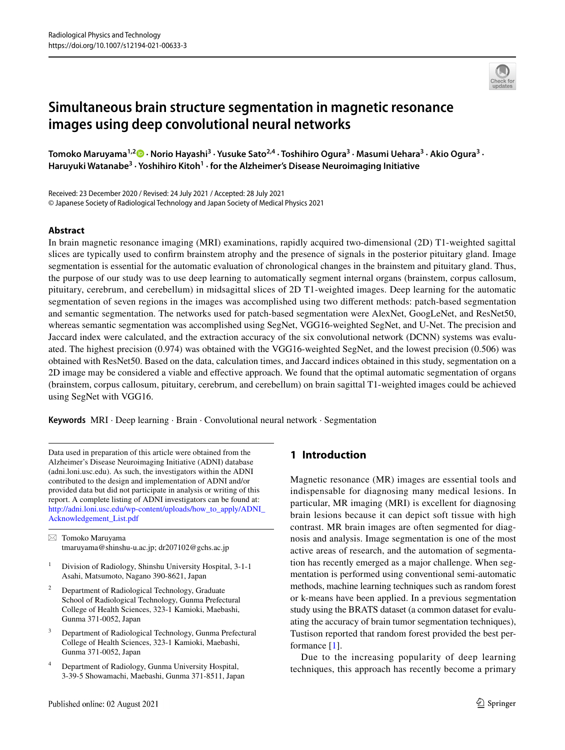# **Simultaneous brain structure segmentation in magnetic resonance images using deep convolutional neural networks**

TomokoMaruyama<sup>1,2</sup> D · Norio Hayashi<sup>3</sup> · Yusuke Sato<sup>2,4</sup> · Toshihiro Ogura<sup>3</sup> · Masumi Uehara<sup>3</sup> · Akio Ogura<sup>3</sup> · Haruyuki Watanabe<sup>3</sup> · Yoshihiro Kitoh<sup>1</sup> · for the Alzheimer's Disease Neuroimaging Initiative

Received: 23 December 2020 / Revised: 24 July 2021 / Accepted: 28 July 2021 © Japanese Society of Radiological Technology and Japan Society of Medical Physics 2021

## **Abstract**

In brain magnetic resonance imaging (MRI) examinations, rapidly acquired two-dimensional (2D) T1-weighted sagittal slices are typically used to confrm brainstem atrophy and the presence of signals in the posterior pituitary gland. Image segmentation is essential for the automatic evaluation of chronological changes in the brainstem and pituitary gland. Thus, the purpose of our study was to use deep learning to automatically segment internal organs (brainstem, corpus callosum, pituitary, cerebrum, and cerebellum) in midsagittal slices of 2D T1-weighted images. Deep learning for the automatic segmentation of seven regions in the images was accomplished using two diferent methods: patch-based segmentation and semantic segmentation. The networks used for patch-based segmentation were AlexNet, GoogLeNet, and ResNet50, whereas semantic segmentation was accomplished using SegNet, VGG16-weighted SegNet, and U-Net. The precision and Jaccard index were calculated, and the extraction accuracy of the six convolutional network (DCNN) systems was evaluated. The highest precision (0.974) was obtained with the VGG16-weighted SegNet, and the lowest precision (0.506) was obtained with ResNet50. Based on the data, calculation times, and Jaccard indices obtained in this study, segmentation on a 2D image may be considered a viable and efective approach. We found that the optimal automatic segmentation of organs (brainstem, corpus callosum, pituitary, cerebrum, and cerebellum) on brain sagittal T1-weighted images could be achieved using SegNet with VGG16.

**Keywords** MRI · Deep learning · Brain · Convolutional neural network · Segmentation

Data used in preparation of this article were obtained from the Alzheimer's Disease Neuroimaging Initiative (ADNI) database (adni.loni.usc.edu). As such, the investigators within the ADNI contributed to the design and implementation of ADNI and/or provided data but did not participate in analysis or writing of this report. A complete listing of ADNI investigators can be found at: [http://adni.loni.usc.edu/wp-content/uploads/how\\_to\\_apply/ADNI\\_](http://adni.loni.usc.edu/wp-content/uploads/how_to_apply/ADNI_Acknowledgement_List.pdf) [Acknowledgement\\_List.pdf](http://adni.loni.usc.edu/wp-content/uploads/how_to_apply/ADNI_Acknowledgement_List.pdf)

 $\boxtimes$  Tomoko Maruyama tmaruyama@shinshu-u.ac.jp; dr207102@gchs.ac.jp

- <sup>1</sup> Division of Radiology, Shinshu University Hospital, 3-1-1 Asahi, Matsumoto, Nagano 390-8621, Japan
- <sup>2</sup> Department of Radiological Technology, Graduate School of Radiological Technology, Gunma Prefectural College of Health Sciences, 323-1 Kamioki, Maebashi, Gunma 371-0052, Japan
- <sup>3</sup> Department of Radiological Technology, Gunma Prefectural College of Health Sciences, 323-1 Kamioki, Maebashi, Gunma 371-0052, Japan
- <sup>4</sup> Department of Radiology, Gunma University Hospital, 3-39-5 Showamachi, Maebashi, Gunma 371-8511, Japan

## **1 Introduction**

Magnetic resonance (MR) images are essential tools and indispensable for diagnosing many medical lesions. In particular, MR imaging (MRI) is excellent for diagnosing brain lesions because it can depict soft tissue with high contrast. MR brain images are often segmented for diagnosis and analysis. Image segmentation is one of the most active areas of research, and the automation of segmentation has recently emerged as a major challenge. When segmentation is performed using conventional semi-automatic methods, machine learning techniques such as random forest or k-means have been applied. In a previous segmentation study using the BRATS dataset (a common dataset for evaluating the accuracy of brain tumor segmentation techniques), Tustison reported that random forest provided the best performance [[1](#page-6-0)].

Due to the increasing popularity of deep learning techniques, this approach has recently become a primary

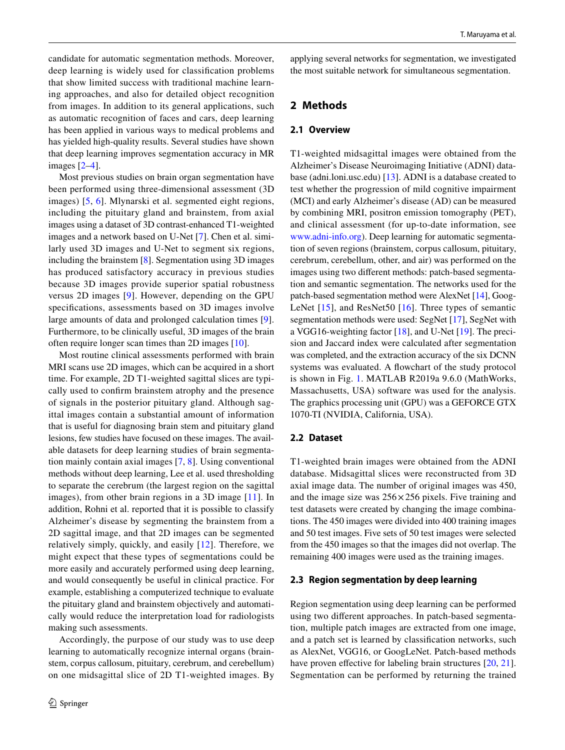candidate for automatic segmentation methods. Moreover, deep learning is widely used for classifcation problems that show limited success with traditional machine learning approaches, and also for detailed object recognition from images. In addition to its general applications, such as automatic recognition of faces and cars, deep learning has been applied in various ways to medical problems and has yielded high-quality results. Several studies have shown that deep learning improves segmentation accuracy in MR images [\[2](#page-6-1)[–4](#page-6-2)].

Most previous studies on brain organ segmentation have been performed using three-dimensional assessment (3D images) [\[5](#page-6-3), [6](#page-6-4)]. Mlynarski et al. segmented eight regions, including the pituitary gland and brainstem, from axial images using a dataset of 3D contrast-enhanced T1-weighted images and a network based on U-Net [\[7\]](#page-6-5). Chen et al. similarly used 3D images and U-Net to segment six regions, including the brainstem [\[8](#page-6-6)]. Segmentation using 3D images has produced satisfactory accuracy in previous studies because 3D images provide superior spatial robustness versus 2D images [\[9\]](#page-6-7). However, depending on the GPU specifcations, assessments based on 3D images involve large amounts of data and prolonged calculation times [\[9](#page-6-7)]. Furthermore, to be clinically useful, 3D images of the brain often require longer scan times than 2D images [\[10](#page-6-8)].

Most routine clinical assessments performed with brain MRI scans use 2D images, which can be acquired in a short time. For example, 2D T1-weighted sagittal slices are typically used to confrm brainstem atrophy and the presence of signals in the posterior pituitary gland. Although sagittal images contain a substantial amount of information that is useful for diagnosing brain stem and pituitary gland lesions, few studies have focused on these images. The available datasets for deep learning studies of brain segmentation mainly contain axial images [[7,](#page-6-5) [8\]](#page-6-6). Using conventional methods without deep learning, Lee et al. used thresholding to separate the cerebrum (the largest region on the sagittal images), from other brain regions in a 3D image [[11](#page-6-9)]. In addition, Rohni et al. reported that it is possible to classify Alzheimer's disease by segmenting the brainstem from a 2D sagittal image, and that 2D images can be segmented relatively simply, quickly, and easily [\[12\]](#page-7-0). Therefore, we might expect that these types of segmentations could be more easily and accurately performed using deep learning, and would consequently be useful in clinical practice. For example, establishing a computerized technique to evaluate the pituitary gland and brainstem objectively and automatically would reduce the interpretation load for radiologists making such assessments.

Accordingly, the purpose of our study was to use deep learning to automatically recognize internal organs (brainstem, corpus callosum, pituitary, cerebrum, and cerebellum) on one midsagittal slice of 2D T1-weighted images. By applying several networks for segmentation, we investigated the most suitable network for simultaneous segmentation.

## **2 Methods**

#### **2.1 Overview**

T1-weighted midsagittal images were obtained from the Alzheimer's Disease Neuroimaging Initiative (ADNI) database (adni.loni.usc.edu) [[13](#page-7-1)]. ADNI is a database created to test whether the progression of mild cognitive impairment (MCI) and early Alzheimer's disease (AD) can be measured by combining MRI, positron emission tomography (PET), and clinical assessment (for up-to-date information, see [www.adni-info.org](http://www.adni-info.org)). Deep learning for automatic segmentation of seven regions (brainstem, corpus callosum, pituitary, cerebrum, cerebellum, other, and air) was performed on the images using two diferent methods: patch-based segmentation and semantic segmentation. The networks used for the patch-based segmentation method were AlexNet [\[14](#page-7-2)], Goog-LeNet [\[15\]](#page-7-3), and ResNet50 [\[16\]](#page-7-4). Three types of semantic segmentation methods were used: SegNet [\[17](#page-7-5)], SegNet with a VGG16-weighting factor [[18\]](#page-7-6), and U-Net [[19\]](#page-7-7). The precision and Jaccard index were calculated after segmentation was completed, and the extraction accuracy of the six DCNN systems was evaluated. A fowchart of the study protocol is shown in Fig. [1.](#page-2-0) MATLAB R2019a 9.6.0 (MathWorks, Massachusetts, USA) software was used for the analysis. The graphics processing unit (GPU) was a GEFORCE GTX 1070-TI (NVIDIA, California, USA).

#### **2.2 Dataset**

T1-weighted brain images were obtained from the ADNI database. Midsagittal slices were reconstructed from 3D axial image data. The number of original images was 450, and the image size was  $256 \times 256$  pixels. Five training and test datasets were created by changing the image combinations. The 450 images were divided into 400 training images and 50 test images. Five sets of 50 test images were selected from the 450 images so that the images did not overlap. The remaining 400 images were used as the training images.

#### **2.3 Region segmentation by deep learning**

Region segmentation using deep learning can be performed using two diferent approaches. In patch-based segmentation, multiple patch images are extracted from one image, and a patch set is learned by classifcation networks, such as AlexNet, VGG16, or GoogLeNet. Patch-based methods have proven effective for labeling brain structures [[20](#page-7-8), [21](#page-7-9)]. Segmentation can be performed by returning the trained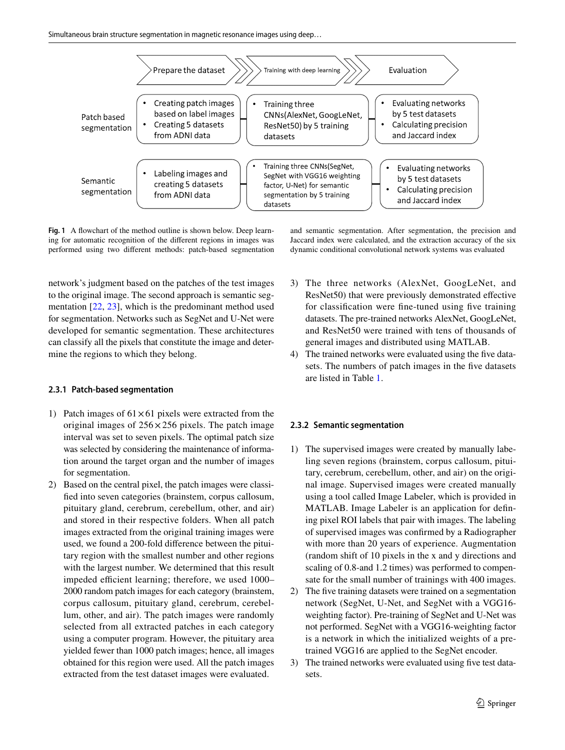

<span id="page-2-0"></span>**Fig. 1** A fowchart of the method outline is shown below. Deep learning for automatic recognition of the diferent regions in images was performed using two diferent methods: patch-based segmentation

and semantic segmentation. After segmentation, the precision and Jaccard index were calculated, and the extraction accuracy of the six dynamic conditional convolutional network systems was evaluated

network's judgment based on the patches of the test images to the original image. The second approach is semantic segmentation [[22,](#page-7-10) [23](#page-7-11)], which is the predominant method used for segmentation. Networks such as SegNet and U-Net were developed for semantic segmentation. These architectures can classify all the pixels that constitute the image and determine the regions to which they belong.

#### **2.3.1 Patch‑based segmentation**

- 1) Patch images of  $61 \times 61$  pixels were extracted from the original images of  $256 \times 256$  pixels. The patch image interval was set to seven pixels. The optimal patch size was selected by considering the maintenance of information around the target organ and the number of images for segmentation.
- 2) Based on the central pixel, the patch images were classifed into seven categories (brainstem, corpus callosum, pituitary gland, cerebrum, cerebellum, other, and air) and stored in their respective folders. When all patch images extracted from the original training images were used, we found a 200-fold diference between the pituitary region with the smallest number and other regions with the largest number. We determined that this result impeded efficient learning; therefore, we used 1000– 2000 random patch images for each category (brainstem, corpus callosum, pituitary gland, cerebrum, cerebellum, other, and air). The patch images were randomly selected from all extracted patches in each category using a computer program. However, the pituitary area yielded fewer than 1000 patch images; hence, all images obtained for this region were used. All the patch images extracted from the test dataset images were evaluated.
- 3) The three networks (AlexNet, GoogLeNet, and ResNet50) that were previously demonstrated efective for classifcation were fne-tuned using fve training datasets. The pre-trained networks AlexNet, GoogLeNet, and ResNet50 were trained with tens of thousands of general images and distributed using MATLAB.
- 4) The trained networks were evaluated using the fve datasets. The numbers of patch images in the fve datasets are listed in Table [1.](#page-3-0)

#### **2.3.2 Semantic segmentation**

- 1) The supervised images were created by manually labeling seven regions (brainstem, corpus callosum, pituitary, cerebrum, cerebellum, other, and air) on the original image. Supervised images were created manually using a tool called Image Labeler, which is provided in MATLAB. Image Labeler is an application for defning pixel ROI labels that pair with images. The labeling of supervised images was confrmed by a Radiographer with more than 20 years of experience. Augmentation (random shift of 10 pixels in the x and y directions and scaling of 0.8-and 1.2 times) was performed to compensate for the small number of trainings with 400 images.
- 2) The fve training datasets were trained on a segmentation network (SegNet, U-Net, and SegNet with a VGG16 weighting factor). Pre-training of SegNet and U-Net was not performed. SegNet with a VGG16-weighting factor is a network in which the initialized weights of a pretrained VGG16 are applied to the SegNet encoder.
- 3) The trained networks were evaluated using five test datasets.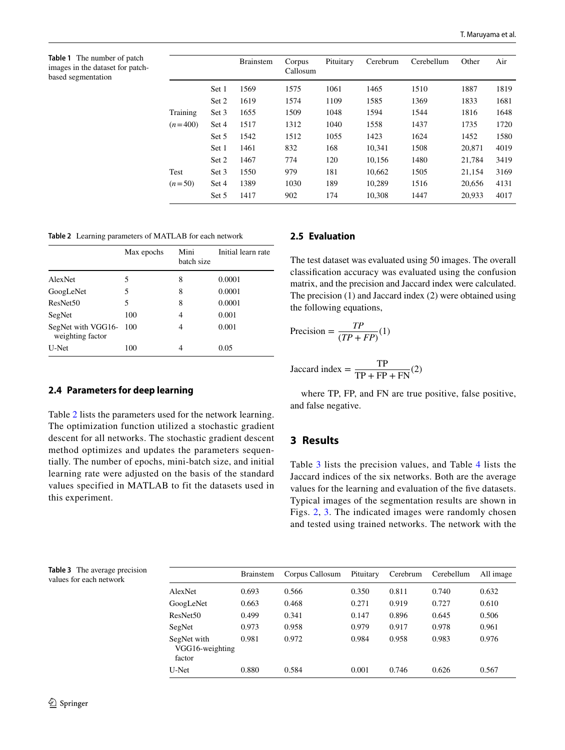<span id="page-3-0"></span>**Table 1** The number of patch images in the dataset for patchbased segmentation

|           |       | <b>Brainstem</b> | Corpus<br>Callosum | Pituitary | Cerebrum | Cerebellum | Other  | Air  |
|-----------|-------|------------------|--------------------|-----------|----------|------------|--------|------|
|           | Set 1 | 1569             | 1575               | 1061      | 1465     | 1510       | 1887   | 1819 |
|           | Set 2 | 1619             | 1574               | 1109      | 1585     | 1369       | 1833   | 1681 |
| Training  | Set 3 | 1655             | 1509               | 1048      | 1594     | 1544       | 1816   | 1648 |
| $(n=400)$ | Set 4 | 1517             | 1312               | 1040      | 1558     | 1437       | 1735   | 1720 |
|           | Set 5 | 1542             | 1512               | 1055      | 1423     | 1624       | 1452   | 1580 |
|           | Set 1 | 1461             | 832                | 168       | 10,341   | 1508       | 20.871 | 4019 |
|           | Set 2 | 1467             | 774                | 120       | 10.156   | 1480       | 21,784 | 3419 |
| Test      | Set 3 | 1550             | 979                | 181       | 10.662   | 1505       | 21,154 | 3169 |
| $(n=50)$  | Set 4 | 1389             | 1030               | 189       | 10.289   | 1516       | 20,656 | 4131 |
|           | Set 5 | 1417             | 902                | 174       | 10.308   | 1447       | 20.933 | 4017 |

<span id="page-3-1"></span>**Table 2** Learning parameters of MATLAB for each network

|                                        | Max epochs | Mini<br>batch size | Initial learn rate |
|----------------------------------------|------------|--------------------|--------------------|
| AlexNet                                | 5          | 8                  | 0.0001             |
| GoogLeNet                              | 5          | 8                  | 0.0001             |
| ResNet <sub>50</sub>                   | 5          | 8                  | 0.0001             |
| SegNet                                 | 100        | 4                  | 0.001              |
| SegNet with VGG16-<br>weighting factor | 100        | 4                  | 0.001              |
| U-Net                                  | 100        |                    | 0.05               |

#### **2.4 Parameters for deep learning**

Table [2](#page-3-1) lists the parameters used for the network learning. The optimization function utilized a stochastic gradient descent for all networks. The stochastic gradient descent method optimizes and updates the parameters sequentially. The number of epochs, mini-batch size, and initial learning rate were adjusted on the basis of the standard values specified in MATLAB to fit the datasets used in this experiment.

## **2.5 Evaluation**

The test dataset was evaluated using 50 images. The overall classifcation accuracy was evaluated using the confusion matrix, and the precision and Jaccard index were calculated. The precision (1) and Jaccard index (2) were obtained using the following equations,

$$
Precision = \frac{TP}{(TP + FP)}(1)
$$

Jaccard index =  $\frac{\text{TP}}{\text{TP} + \text{FP} + \text{FN}}$  (2)

where TP, FP, and FN are true positive, false positive, and false negative.

## **3 Results**

Table [3](#page-3-2) lists the precision values, and Table [4](#page-4-0) lists the Jaccard indices of the six networks. Both are the average values for the learning and evaluation of the five datasets. Typical images of the segmentation results are shown in Figs. [2,](#page-4-1) [3.](#page-5-0) The indicated images were randomly chosen and tested using trained networks. The network with the

<span id="page-3-2"></span>**Table 3** The average precision values for each network

|                                          | <b>Brainstem</b> | Corpus Callosum | Pituitary | Cerebrum | Cerebellum | All image |
|------------------------------------------|------------------|-----------------|-----------|----------|------------|-----------|
| AlexNet                                  | 0.693            | 0.566           | 0.350     | 0.811    | 0.740      | 0.632     |
| GoogLeNet                                | 0.663            | 0.468           | 0.271     | 0.919    | 0.727      | 0.610     |
| ResNet <sub>50</sub>                     | 0.499            | 0.341           | 0.147     | 0.896    | 0.645      | 0.506     |
| SegNet                                   | 0.973            | 0.958           | 0.979     | 0.917    | 0.978      | 0.961     |
| SegNet with<br>VGG16-weighting<br>factor | 0.981            | 0.972           | 0.984     | 0.958    | 0.983      | 0.976     |
| U-Net                                    | 0.880            | 0.584           | 0.001     | 0.746    | 0.626      | 0.567     |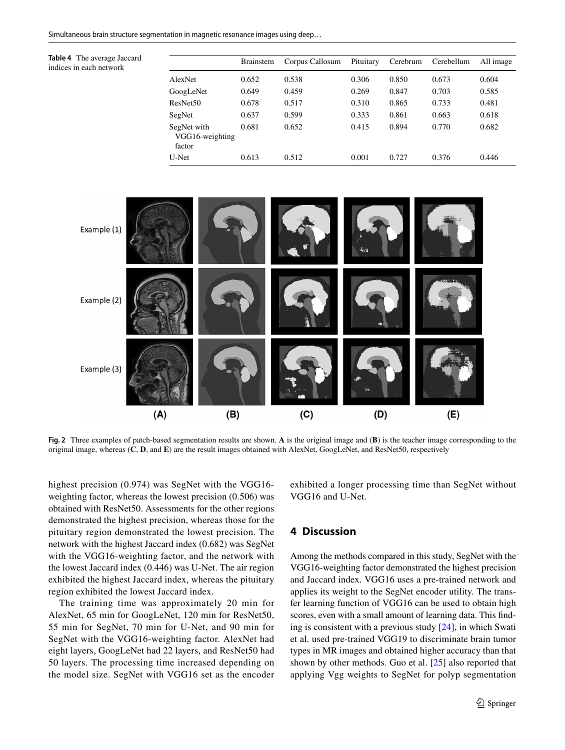Simultaneous brain structure segmentation in magnetic resonance images using deep…

<span id="page-4-0"></span>**Table 4** The average Jaccard indices in each network

|                                          | <b>Brainstem</b> | Corpus Callosum | Pituitary | Cerebrum | Cerebellum | All image |
|------------------------------------------|------------------|-----------------|-----------|----------|------------|-----------|
| AlexNet                                  | 0.652            | 0.538           | 0.306     | 0.850    | 0.673      | 0.604     |
| GoogLeNet                                | 0.649            | 0.459           | 0.269     | 0.847    | 0.703      | 0.585     |
| ResNet <sub>50</sub>                     | 0.678            | 0.517           | 0.310     | 0.865    | 0.733      | 0.481     |
| SegNet                                   | 0.637            | 0.599           | 0.333     | 0.861    | 0.663      | 0.618     |
| SegNet with<br>VGG16-weighting<br>factor | 0.681            | 0.652           | 0.415     | 0.894    | 0.770      | 0.682     |
| U-Net                                    | 0.613            | 0.512           | 0.001     | 0.727    | 0.376      | 0.446     |



<span id="page-4-1"></span>**Fig. 2** Three examples of patch-based segmentation results are shown. **A** is the original image and (**B**) is the teacher image corresponding to the original image, whereas (**C**, **D**, and **E**) are the result images obtained with AlexNet, GoogLeNet, and ResNet50, respectively

highest precision (0.974) was SegNet with the VGG16 weighting factor, whereas the lowest precision (0.506) was obtained with ResNet50. Assessments for the other regions demonstrated the highest precision, whereas those for the pituitary region demonstrated the lowest precision. The network with the highest Jaccard index (0.682) was SegNet with the VGG16-weighting factor, and the network with the lowest Jaccard index (0.446) was U-Net. The air region exhibited the highest Jaccard index, whereas the pituitary region exhibited the lowest Jaccard index.

The training time was approximately 20 min for AlexNet, 65 min for GoogLeNet, 120 min for ResNet50, 55 min for SegNet, 70 min for U-Net, and 90 min for SegNet with the VGG16-weighting factor. AlexNet had eight layers, GoogLeNet had 22 layers, and ResNet50 had 50 layers. The processing time increased depending on the model size. SegNet with VGG16 set as the encoder exhibited a longer processing time than SegNet without VGG16 and U-Net.

## **4 Discussion**

Among the methods compared in this study, SegNet with the VGG16-weighting factor demonstrated the highest precision and Jaccard index. VGG16 uses a pre-trained network and applies its weight to the SegNet encoder utility. The transfer learning function of VGG16 can be used to obtain high scores, even with a small amount of learning data. This fnding is consistent with a previous study [[24\]](#page-7-12), in which Swati et al. used pre-trained VGG19 to discriminate brain tumor types in MR images and obtained higher accuracy than that shown by other methods. Guo et al. [[25](#page-7-13)] also reported that applying Vgg weights to SegNet for polyp segmentation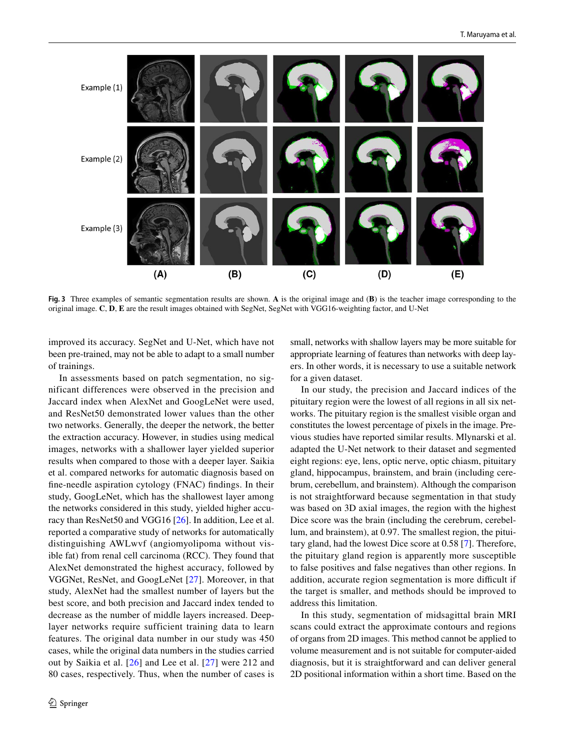

<span id="page-5-0"></span>**Fig. 3** Three examples of semantic segmentation results are shown. **A** is the original image and (**B**) is the teacher image corresponding to the original image. **C**, **D**, **E** are the result images obtained with SegNet, SegNet with VGG16-weighting factor, and U-Net

improved its accuracy. SegNet and U-Net, which have not been pre-trained, may not be able to adapt to a small number of trainings.

In assessments based on patch segmentation, no significant differences were observed in the precision and Jaccard index when AlexNet and GoogLeNet were used, and ResNet50 demonstrated lower values than the other two networks. Generally, the deeper the network, the better the extraction accuracy. However, in studies using medical images, networks with a shallower layer yielded superior results when compared to those with a deeper layer. Saikia et al. compared networks for automatic diagnosis based on fne-needle aspiration cytology (FNAC) fndings. In their study, GoogLeNet, which has the shallowest layer among the networks considered in this study, yielded higher accuracy than ResNet50 and VGG16 [[26\]](#page-7-14). In addition, Lee et al. reported a comparative study of networks for automatically distinguishing AWLwvf (angiomyolipoma without visible fat) from renal cell carcinoma (RCC). They found that AlexNet demonstrated the highest accuracy, followed by VGGNet, ResNet, and GoogLeNet [\[27](#page-7-15)]. Moreover, in that study, AlexNet had the smallest number of layers but the best score, and both precision and Jaccard index tended to decrease as the number of middle layers increased. Deeplayer networks require sufficient training data to learn features. The original data number in our study was 450 cases, while the original data numbers in the studies carried out by Saikia et al. [\[26\]](#page-7-14) and Lee et al. [\[27\]](#page-7-15) were 212 and 80 cases, respectively. Thus, when the number of cases is small, networks with shallow layers may be more suitable for appropriate learning of features than networks with deep layers. In other words, it is necessary to use a suitable network for a given dataset.

In our study, the precision and Jaccard indices of the pituitary region were the lowest of all regions in all six networks. The pituitary region is the smallest visible organ and constitutes the lowest percentage of pixels in the image. Previous studies have reported similar results. Mlynarski et al. adapted the U-Net network to their dataset and segmented eight regions: eye, lens, optic nerve, optic chiasm, pituitary gland, hippocampus, brainstem, and brain (including cerebrum, cerebellum, and brainstem). Although the comparison is not straightforward because segmentation in that study was based on 3D axial images, the region with the highest Dice score was the brain (including the cerebrum, cerebellum, and brainstem), at 0.97. The smallest region, the pituitary gland, had the lowest Dice score at 0.58 [\[7](#page-6-5)]. Therefore, the pituitary gland region is apparently more susceptible to false positives and false negatives than other regions. In addition, accurate region segmentation is more difficult if the target is smaller, and methods should be improved to address this limitation.

In this study, segmentation of midsagittal brain MRI scans could extract the approximate contours and regions of organs from 2D images. This method cannot be applied to volume measurement and is not suitable for computer-aided diagnosis, but it is straightforward and can deliver general 2D positional information within a short time. Based on the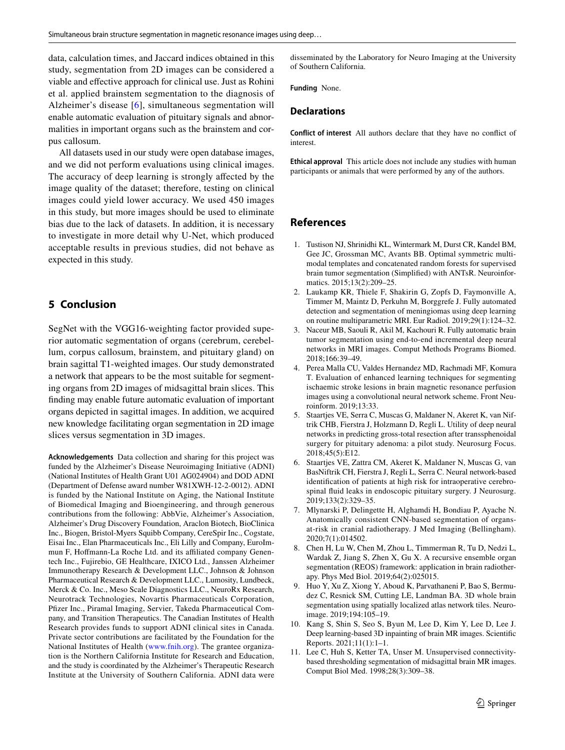data, calculation times, and Jaccard indices obtained in this study, segmentation from 2D images can be considered a viable and efective approach for clinical use. Just as Rohini et al. applied brainstem segmentation to the diagnosis of Alzheimer's disease [[6\]](#page-6-4), simultaneous segmentation will enable automatic evaluation of pituitary signals and abnormalities in important organs such as the brainstem and corpus callosum.

All datasets used in our study were open database images, and we did not perform evaluations using clinical images. The accuracy of deep learning is strongly afected by the image quality of the dataset; therefore, testing on clinical images could yield lower accuracy. We used 450 images in this study, but more images should be used to eliminate bias due to the lack of datasets. In addition, it is necessary to investigate in more detail why U-Net, which produced acceptable results in previous studies, did not behave as expected in this study.

## **5 Conclusion**

SegNet with the VGG16-weighting factor provided superior automatic segmentation of organs (cerebrum, cerebellum, corpus callosum, brainstem, and pituitary gland) on brain sagittal T1-weighted images. Our study demonstrated a network that appears to be the most suitable for segmenting organs from 2D images of midsagittal brain slices. This fnding may enable future automatic evaluation of important organs depicted in sagittal images. In addition, we acquired new knowledge facilitating organ segmentation in 2D image slices versus segmentation in 3D images.

**Acknowledgements** Data collection and sharing for this project was funded by the Alzheimer's Disease Neuroimaging Initiative (ADNI) (National Institutes of Health Grant U01 AG024904) and DOD ADNI (Department of Defense award number W81XWH-12-2-0012). ADNI is funded by the National Institute on Aging, the National Institute of Biomedical Imaging and Bioengineering, and through generous contributions from the following: AbbVie, Alzheimer's Association, Alzheimer's Drug Discovery Foundation, Araclon Biotech, BioClinica Inc., Biogen, Bristol-Myers Squibb Company, CereSpir Inc., Cogstate, Eisai Inc., Elan Pharmaceuticals Inc., Eli Lilly and Company, EuroImmun F, Hoffmann-La Roche Ltd. and its affiliated company Genentech Inc., Fujirebio, GE Healthcare, IXICO Ltd., Janssen Alzheimer Immunotherapy Research & Development LLC., Johnson & Johnson Pharmaceutical Research & Development LLC., Lumosity, Lundbeck, Merck & Co. Inc., Meso Scale Diagnostics LLC., NeuroRx Research, Neurotrack Technologies, Novartis Pharmaceuticals Corporation, Pfzer Inc., Piramal Imaging, Servier, Takeda Pharmaceutical Company, and Transition Therapeutics. The Canadian Institutes of Health Research provides funds to support ADNI clinical sites in Canada. Private sector contributions are facilitated by the Foundation for the National Institutes of Health [\(www.fnih.org\)](http://www.fnih.org). The grantee organization is the Northern California Institute for Research and Education, and the study is coordinated by the Alzheimer's Therapeutic Research Institute at the University of Southern California. ADNI data were disseminated by the Laboratory for Neuro Imaging at the University of Southern California.

**Funding** None.

### **Declarations**

**Conflict of interest** All authors declare that they have no confict of interest.

**Ethical approval** This article does not include any studies with human participants or animals that were performed by any of the authors.

## **References**

- <span id="page-6-0"></span>1. Tustison NJ, Shrinidhi KL, Wintermark M, Durst CR, Kandel BM, Gee JC, Grossman MC, Avants BB. Optimal symmetric multimodal templates and concatenated random forests for supervised brain tumor segmentation (Simplifed) with ANTsR. Neuroinformatics. 2015;13(2):209–25.
- <span id="page-6-1"></span>2. Laukamp KR, Thiele F, Shakirin G, Zopfs D, Faymonville A, Timmer M, Maintz D, Perkuhn M, Borggrefe J. Fully automated detection and segmentation of meningiomas using deep learning on routine multiparametric MRI. Eur Radiol. 2019;29(1):124–32.
- 3. Naceur MB, Saouli R, Akil M, Kachouri R. Fully automatic brain tumor segmentation using end-to-end incremental deep neural networks in MRI images. Comput Methods Programs Biomed. 2018;166:39–49.
- <span id="page-6-2"></span>4. Perea Malla CU, Valdes Hernandez MD, Rachmadi MF, Komura T. Evaluation of enhanced learning techniques for segmenting ischaemic stroke lesions in brain magnetic resonance perfusion images using a convolutional neural network scheme. Front Neuroinform. 2019;13:33.
- <span id="page-6-3"></span>5. Staartjes VE, Serra C, Muscas G, Maldaner N, Akeret K, van Niftrik CHB, Fierstra J, Holzmann D, Regli L. Utility of deep neural networks in predicting gross-total resection after transsphenoidal surgery for pituitary adenoma: a pilot study. Neurosurg Focus. 2018;45(5):E12.
- <span id="page-6-4"></span>6. Staartjes VE, Zattra CM, Akeret K, Maldaner N, Muscas G, van BasNiftrik CH, Fierstra J, Regli L, Serra C. Neural network-based identifcation of patients at high risk for intraoperative cerebrospinal fuid leaks in endoscopic pituitary surgery. J Neurosurg. 2019;133(2):329–35.
- <span id="page-6-5"></span>7. Mlynarski P, Delingette H, Alghamdi H, Bondiau P, Ayache N. Anatomically consistent CNN-based segmentation of organsat-risk in cranial radiotherapy. J Med Imaging (Bellingham). 2020;7(1):014502.
- <span id="page-6-6"></span>8. Chen H, Lu W, Chen M, Zhou L, Timmerman R, Tu D, Nedzi L, Wardak Z, Jiang S, Zhen X, Gu X. A recursive ensemble organ segmentation (REOS) framework: application in brain radiotherapy. Phys Med Biol. 2019;64(2):025015.
- <span id="page-6-7"></span>9. Huo Y, Xu Z, Xiong Y, Aboud K, Parvathaneni P, Bao S, Bermudez C, Resnick SM, Cutting LE, Landman BA. 3D whole brain segmentation using spatially localized atlas network tiles. Neuroimage. 2019;194:105–19.
- <span id="page-6-8"></span>10. Kang S, Shin S, Seo S, Byun M, Lee D, Kim Y, Lee D, Lee J. Deep learning-based 3D inpainting of brain MR images. Scientifc Reports. 2021;11(1):1–1.
- <span id="page-6-9"></span>11. Lee C, Huh S, Ketter TA, Unser M. Unsupervised connectivitybased thresholding segmentation of midsagittal brain MR images. Comput Biol Med. 1998;28(3):309–38.